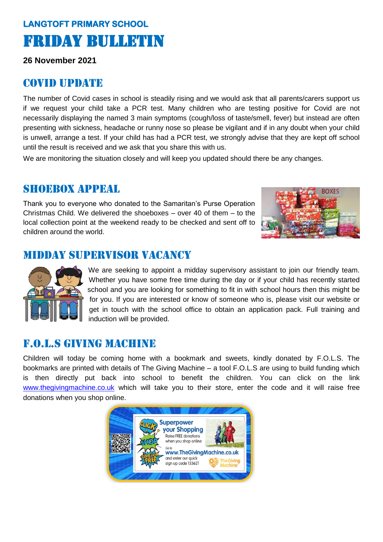# **LANGTOFT PRIMARY SCHOOL**  Friday Bulletin

**26 November 2021**

#### Covid update

The number of Covid cases in school is steadily rising and we would ask that all parents/carers support us if we request your child take a PCR test. Many children who are testing positive for Covid are not necessarily displaying the named 3 main symptoms (cough/loss of taste/smell, fever) but instead are often presenting with sickness, headache or runny nose so please be vigilant and if in any doubt when your child is unwell, arrange a test. If your child has had a PCR test, we strongly advise that they are kept off school until the result is received and we ask that you share this with us.

We are monitoring the situation closely and will keep you updated should there be any changes.

#### SHOEBOX APPEAL

Thank you to everyone who donated to the Samaritan's Purse Operation Christmas Child. We delivered the shoeboxes – over 40 of them – to the local collection point at the weekend ready to be checked and sent off to children around the world.



### Midday supervisor vacancy



We are seeking to appoint a midday supervisory assistant to join our friendly team. Whether you have some free time during the day or if your child has recently started school and you are looking for something to fit in with school hours then this might be for you. If you are interested or know of someone who is, please visit our website or get in touch with the school office to obtain an application pack. Full training and induction will be provided.

#### f.o.l.s giving machine

Children will today be coming home with a bookmark and sweets, kindly donated by F.O.L.S. The bookmarks are printed with details of The Giving Machine – a tool F.O.L.S are using to build funding which is then directly put back into school to benefit the children. You can click on the link [www.thegivingmachine.co.uk](http://www.thegivingmachine.co.uk/) which will take you to their store, enter the code and it will raise free donations when you shop online.

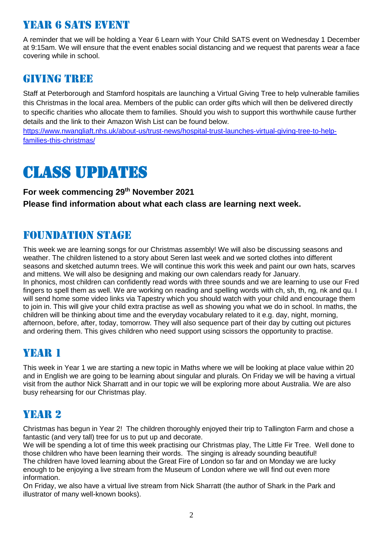# year 6 sats event

A reminder that we will be holding a Year 6 Learn with Your Child SATS event on Wednesday 1 December at 9:15am. We will ensure that the event enables social distancing and we request that parents wear a face covering while in school.

#### **GIVING TREE**

Staff at Peterborough and Stamford hospitals are launching a Virtual Giving Tree to help vulnerable families this Christmas in the local area. Members of the public can order gifts which will then be delivered directly to specific charities who allocate them to families. Should you wish to support this worthwhile cause further details and the link to their Amazon Wish List can be found below.

[https://www.nwangliaft.nhs.uk/about-us/trust-news/hospital-trust-launches-virtual-giving-tree-to-help](https://www.nwangliaft.nhs.uk/about-us/trust-news/hospital-trust-launches-virtual-giving-tree-to-help-families-this-christmas/)[families-this-christmas/](https://www.nwangliaft.nhs.uk/about-us/trust-news/hospital-trust-launches-virtual-giving-tree-to-help-families-this-christmas/)

# Class updates

**For week commencing 29 th November 2021 Please find information about what each class are learning next week.** 

#### Foundation stage

This week we are learning songs for our Christmas assembly! We will also be discussing seasons and weather. The children listened to a story about Seren last week and we sorted clothes into different seasons and sketched autumn trees. We will continue this work this week and paint our own hats, scarves and mittens. We will also be designing and making our own calendars ready for January. In phonics, most children can confidently read words with three sounds and we are learning to use our Fred fingers to spell them as well. We are working on reading and spelling words with ch, sh, th, ng, nk and qu. I will send home some video links via Tapestry which you should watch with your child and encourage them to join in. This will give your child extra practise as well as showing you what we do in school. In maths, the children will be thinking about time and the everyday vocabulary related to it e.g. day, night, morning, afternoon, before, after, today, tomorrow. They will also sequence part of their day by cutting out pictures and ordering them. This gives children who need support using scissors the opportunity to practise.

# YEAR 1

This week in Year 1 we are starting a new topic in Maths where we will be looking at place value within 20 and in English we are going to be learning about singular and plurals. On Friday we will be having a virtual visit from the author Nick Sharratt and in our topic we will be exploring more about Australia. We are also busy rehearsing for our Christmas play.

# YEAR 2

Christmas has begun in Year 2! The children thoroughly enjoyed their trip to Tallington Farm and chose a fantastic (and very tall) tree for us to put up and decorate.

We will be spending a lot of time this week practising our Christmas play, The Little Fir Tree. Well done to those children who have been learning their words. The singing is already sounding beautiful! The children have loved learning about the Great Fire of London so far and on Monday we are lucky enough to be enjoying a live stream from the Museum of London where we will find out even more information.

On Friday, we also have a virtual live stream from Nick Sharratt (the author of Shark in the Park and illustrator of many well-known books).